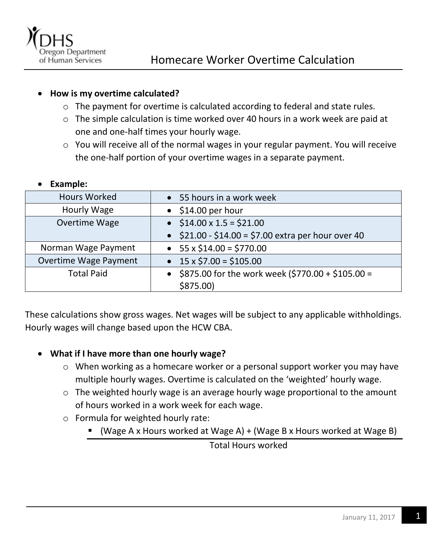

## **How is my overtime calculated?**

- o The payment for overtime is calculated according to federal and state rules.
- o The simple calculation is time worked over 40 hours in a work week are paid at one and one-half times your hourly wage.
- o You will receive all of the normal wages in your regular payment. You will receive the one-half portion of your overtime wages in a separate payment.

## **Example:**

| <b>Hours Worked</b>          | 55 hours in a work week<br>$\bullet$                             |
|------------------------------|------------------------------------------------------------------|
| Hourly Wage                  | $\bullet$ \$14.00 per hour                                       |
| Overtime Wage                | • $$14.00 \times 1.5 = $21.00$                                   |
|                              | • $$21.00 - $14.00 = $7.00$ extra per hour over 40               |
| Norman Wage Payment          | $55 \times $14.00 = $770.00$<br>$\bullet$                        |
| <b>Overtime Wage Payment</b> | • $15 \times $7.00 = $105.00$                                    |
| <b>Total Paid</b>            | \$875.00 for the work week (\$770.00 + \$105.00 =<br>$$875.00$ ) |

These calculations show gross wages. Net wages will be subject to any applicable withholdings. Hourly wages will change based upon the HCW CBA.

## **What if I have more than one hourly wage?**

- o When working as a homecare worker or a personal support worker you may have multiple hourly wages. Overtime is calculated on the 'weighted' hourly wage.
- o The weighted hourly wage is an average hourly wage proportional to the amount of hours worked in a work week for each wage.
- o Formula for weighted hourly rate:
	- $\blacksquare$  (Wage A x Hours worked at Wage A) + (Wage B x Hours worked at Wage B)

Total Hours worked